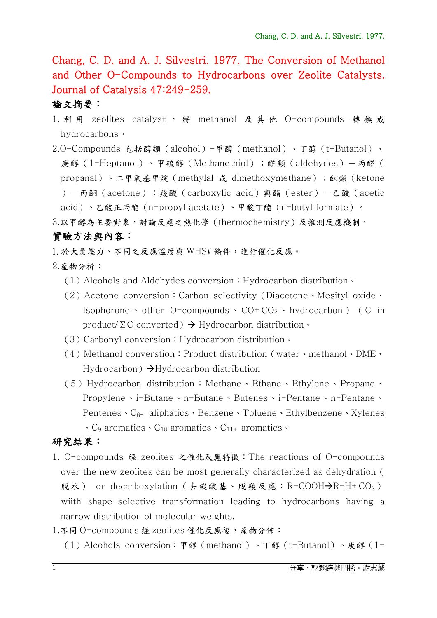Chang, C. D. and A. J. Silvestri. 1977. The Conversion of Methanol and Other O-Compounds to Hydrocarbons over Zeolite Catalysts. Journal of Catalysis 47:249-259.

## 論文摘要:

- 1. 利 用 zeolites catalyst, 將 methanol 及 其 他 O-compounds 轉換 成 hydrocarbons。
- 2.O-Compounds 包括醇類(alcohol)-甲醇(methanol)、丁醇(t-Butanol)、 庚醇(1-Heptanol)、甲硫醇(Methanethiol);醛類(aldehydes)-丙醛( propanal)、二甲氧基甲烷(methylal 或 dimethoxymethane);酮類(ketone )-丙酮(acetone);羧酸(carboxylic acid)與酯(ester)-乙酸(acetic acid)、乙酸正丙酯(n-propyl acetate)、甲酸丁酯(n-butyl formate)。 3.以甲醇為主要對象,討論反應之熱化學(thermochemistry)及推測反應機制。

## 實驗方法與內容:

1.於大氣壓力、不同之反應溫度與 WHSV 條件,進行催化反應。

- 2.產物分析:
	- (1) Alcohols and Aldehydes conversion: Hydrocarbon distribution  $\cdot$
	- (2)Acetone conversion:Carbon selectivity(Diacetone、Mesityl oxide、 Isophorone  $\cdot$  other O-compounds  $\cdot$  CO+CO<sub>2</sub>  $\cdot$  hydrocarbon ) (C in product/ $\Sigma$ C converted)  $\rightarrow$  Hydrocarbon distribution  $\cdot$
	- (3) Carbonyl conversion: Hydrocarbon distribution。
	- (4) Methanol converstion: Product distribution (water、methanol、DME、 Hydrocarbon)  $\rightarrow$ Hydrocarbon distribution
	- (5)Hydrocarbon distribution:Methane、Ethane、Ethylene、Propane、 Propylene、i-Butane、n-Butane、Butenes、i-Pentane、n-Pentane、 Pentenes、C6+ aliphatics、Benzene、Toluene、Ethylbenzene、Xylenes  $\cdot$  C<sub>9</sub> aromatics  $\cdot$  C<sub>10</sub> aromatics  $\cdot$  C<sub>11+</sub> aromatics  $\cdot$

## 研究結果:

- 1. O-compounds 經 zeolites 之催化反應特徵:The reactions of O-compounds over the new zeolites can be most generally characterized as dehydration( 脫水) or decarboxylation (去碳酸基、脫羧反應: R-COOH $\rightarrow$ R-H+CO<sub>2</sub>) wiith shape-selective transformation leading to hydrocarbons having a narrow distribution of molecular weights.
- 1.不同 O-compounds 經 zeolites 催化反應後,產物分佈:
	- (1)Alcohols conversion:甲醇(methanol)、丁醇(t-Butanol)、庚醇(1-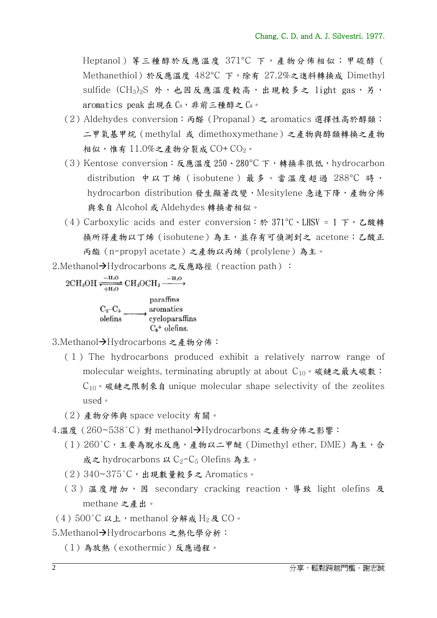Heptanol)等三種醇於反應溫度 371°C 下,產物分佈相似;甲硫醇( Methanethiol)於反應溫度 482°C 下,除有 27.2%之進料轉換成 Dimethyl sulfide  $(CH_3)_2S$  外, 也因反應溫度較高, 出現較多之 light gas, 另, aromatics peak 出現在 $C_9$ , 非前三種醇之 $C_8$ 。

- (2) Aldehydes conversion: 丙醛 (Propanal) 之 aromatics 選擇性高於醇類; 二甲氧基甲烷(methylal 或 dimethoxymethane)之產物與醇類轉換之產物 相似,惟有  $11.0\%$ 之產物分裂成 CO+CO<sub>2</sub>。
- (3)Kentose conversion:反應溫度 250、280°C 下,轉換率很低,hydrocarbon distribution 中以丁烯 (isobutene) 最多。當溫度超過 288°C 時, hydrocarbon distribution 發生顯著改變, Mesitylene 急速下降,產物分佈 與來自 Alcohol 或 Aldehydes 轉換者相似。
- (4) Carboxylic acids and ester conversion: 於 371°C、LHSV = 1 下, 乙酸轉 換所得產物以丁烯(isobutene)為主,並存有可偵測到之 acetone;乙酸正 丙酯(n-propyl acetate)之產物以丙烯(prolylene)為主。

2.Methanol→Hydrocarbons 之反應路徑 (reaction path):

 $2CH_3OH \xrightarrow{\text{H}_3O} CH_3OCH_3 \xrightarrow{\text{H}_2O} H_3OH$  $C_2-C_5$  aromatics<br>olefins eyeloparaffins<br> $C_6$ <sup>+</sup> olefins. paraffins

3.Methanol→Hydrocarbons 之產物分佈:

- ( 1 ) The hydrocarbons produced exhibit a relatively narrow range of molecular weights, terminating abruptly at about  $C_{10} \cdot$  碳鏈之最大碳數:  $C_{10}$  。碳鏈之限制來自 unique molecular shape selectivity of the zeolites used。
- (2)產物分佈與 space velocity 有關。
- 4.溫度 (260∼538℃) 對 methanol→Hydrocarbons 之產物分佈之影響:
	- (1)260°C,主要為脫水反應,產物以二甲醚(Dimethyl ether, DME)為主,合 成之 hydrocarbons 以  $C_2-C_5$  Olefins 為主。
	- (2)340~375°C,出現數量較多之 Aromatics。
	- (3) 溫度增加, 因 secondary cracking reaction, 導致 light olefins 及 methane 之產出。
- $(4)500^{\circ}$ C以上, methanol 分解成 H<sub>2</sub>及 CO。
- 5.Methanol→Hydrocarbons 之熱化學分析:
	- (1)為放熱(exothermic)反應過程。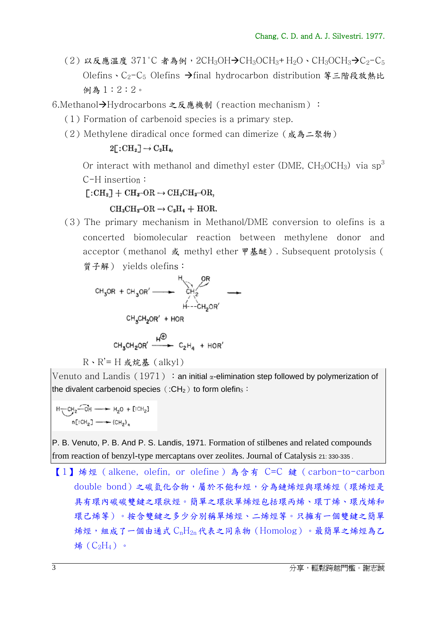(2)以反應溫度 371°C 者為例,2CH<sub>3</sub>OH→CH<sub>3</sub>OCH<sub>3</sub>+H<sub>2</sub>O、CH<sub>3</sub>OCH<sub>3</sub>→C<sub>2</sub>-C<sub>5</sub> Olefins、C<sub>2</sub>-C<sub>5</sub> Olefins → final hydrocarbon distribution 等三階段放熱比 例為 1:2:2。

6.Methanol-Hydrocarbons 之反應機制 (reaction mechanism):

- (1)Formation of carbenoid species is a primary step.
- (2) Methylene diradical once formed can dimerize (成為二聚物)

 $2[\cdot \text{CH}_2] \rightarrow \text{C}_2\text{H}_4$ 

Or interact with methanol and dimethyl ester (DME,  $CH_3OCH_3$ ) via  $\text{SD}^3$ C-H insertion:

 $\Gamma:CH_2 \to CH_3\text{-}OR \to CH_3CH_2\text{-}OR$ 

 $CH_3CH_2-OR \rightarrow C_2H_4 + HOR.$ 

(3)The primary mechanism in Methanol/DME conversion to olefins is a concerted biomolecular reaction between methylene donor and acceptor(methanol 或 methyl ether 甲基醚). Subsequent protolysis( 質子解) yields olefins:

CH<sub>3</sub>OR + CH<sub>3</sub>OR' 
$$
\longrightarrow
$$
 CH<sub>2</sub> OR  
\nCH<sub>3</sub>CH<sub>2</sub>OR' + HOR  
\nCH<sub>3</sub>CH<sub>2</sub>OR' + HOR  
\nCH<sub>3</sub>CH<sub>2</sub>OR'  $\xrightarrow{H^{\oplus}}$  C<sub>2</sub>H<sub>4</sub> + HOR'  
\nR \cdot R' = H  $\&$   $\&$  R:

Venuto and Landis (1971): an initial  $\alpha$ -elimination step followed by polymerization of the divalent carbenoid species ( $:CH<sub>2</sub>$ ) to form olefins:

$$
H \underbrace{\neg CH_2 \neg \neg CH_2} \rightarrow H_2O + [CH_2]
$$
  
\n
$$
n[CH_2] \longrightarrow (CH_2)_n
$$

P. B. Venuto, P. B. And P. S. Landis, 1971. Formation of stilbenes and related compounds from reaction of benzyl-type mercaptans over zeolites. Journal of Catalysis 21: 330-335 .

【1】烯烴(alkene, olefin, or olefine)為含有 C=C 鍵(carbon-to-carbon double bond)之碳氫化合物,屬於不飽和烴,分為鏈烯烴與環烯烴(環烯烴是 具有環內碳碳雙鍵之環狀區之環狀單烯烴包括環丙烯、環丁烯、環戊烯和 環己烯等)。按含雙鍵之多少分別稱單烯烴、二烯烴等。只擁有一個雙鍵之簡單 烯烴,組成了一個由通式 CnH2n代表之同系物(Homolog)。最簡單之烯烴為乙 烯 $(C_2H_4)$ 。